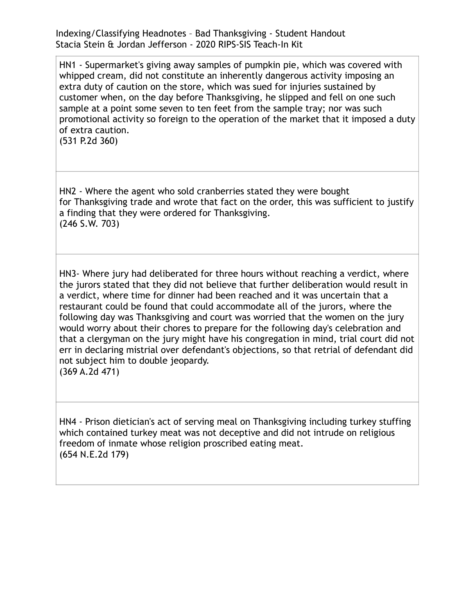Indexing/Classifying Headnotes – Bad Thanksgiving - Student Handout Stacia Stein & Jordan Jefferson - 2020 RIPS-SIS Teach-In Kit

HN1 - Supermarket's giving away samples of pumpkin pie, which was covered with whipped cream, did not constitute an inherently dangerous activity imposing an extra duty of caution on the store, which was sued for injuries sustained by customer when, on the day before Thanksgiving, he slipped and fell on one such sample at a point some seven to ten feet from the sample tray; nor was such promotional activity so foreign to the operation of the market that it imposed a duty of extra caution.

(531 P.2d 360)

HN2 - Where the agent who sold cranberries stated they were bought for Thanksgiving trade and wrote that fact on the order, this was sufficient to justify a finding that they were ordered for Thanksgiving. (246 S.W. 703)

HN3- Where jury had deliberated for three hours without reaching a verdict, where the jurors stated that they did not believe that further deliberation would result in a verdict, where time for dinner had been reached and it was uncertain that a restaurant could be found that could accommodate all of the jurors, where the following day was Thanksgiving and court was worried that the women on the jury would worry about their chores to prepare for the following day's celebration and that a clergyman on the jury might have his congregation in mind, trial court did not err in declaring mistrial over defendant's objections, so that retrial of defendant did not subject him to double jeopardy. (369 A.2d 471)

HN4 - Prison dietician's act of serving meal on Thanksgiving including turkey stuffing which contained turkey meat was not deceptive and did not intrude on religious freedom of inmate whose religion proscribed eating meat. (654 N.E.2d 179)